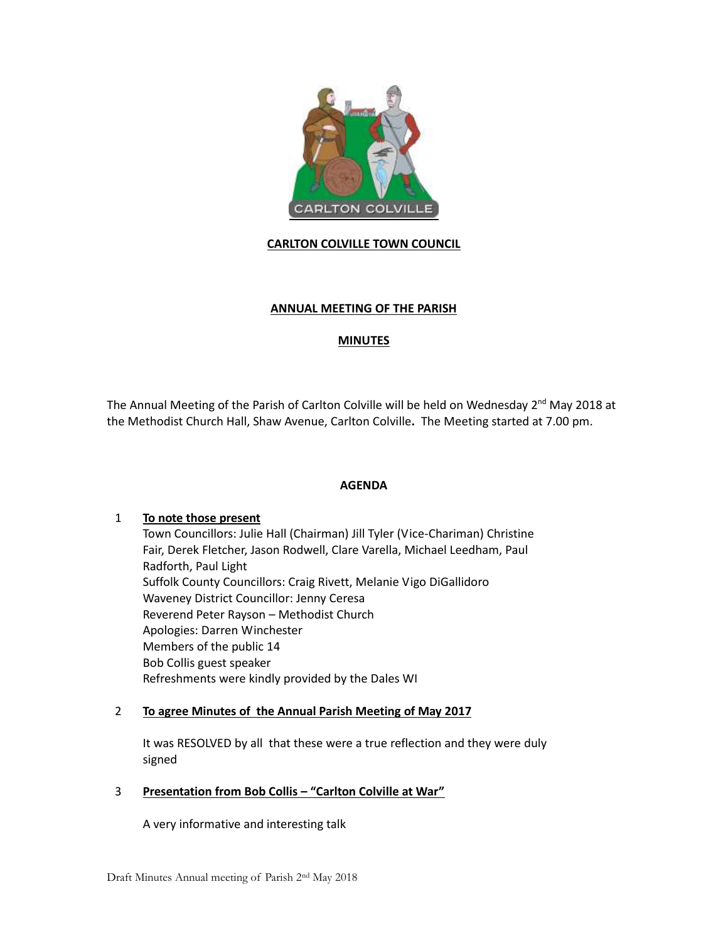

**CARLTON COLVILLE TOWN COUNCIL** 

# **ANNUAL MEETING OF THE PARISH**

# **MINUTES**

The Annual Meeting of the Parish of Carlton Colville will be held on Wednesday 2<sup>nd</sup> May 2018 at the Methodist Church Hall, Shaw Avenue, Carlton Colville**.** The Meeting started at 7.00 pm.

## **AGENDA**

## 1 **To note those present**

Town Councillors: Julie Hall (Chairman) Jill Tyler (Vice-Chariman) Christine Fair, Derek Fletcher, Jason Rodwell, Clare Varella, Michael Leedham, Paul Radforth, Paul Light Suffolk County Councillors: Craig Rivett, Melanie Vigo DiGallidoro Waveney District Councillor: Jenny Ceresa Reverend Peter Rayson – Methodist Church Apologies: Darren Winchester Members of the public 14 Bob Collis guest speaker Refreshments were kindly provided by the Dales WI

## 2 **To agree Minutes of the Annual Parish Meeting of May 2017**

It was RESOLVED by all that these were a true reflection and they were duly signed

## 3 **Presentation from Bob Collis – "Carlton Colville at War"**

A very informative and interesting talk